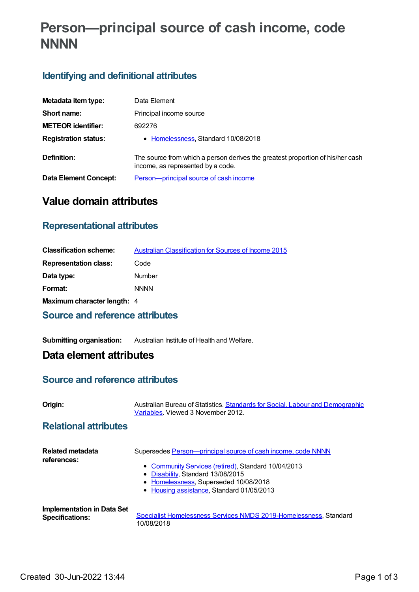# **Person—principal source of cash income, code NNNN**

# **Identifying and definitional attributes**

| Metadata item type:         | Data Element                                                                                                        |
|-----------------------------|---------------------------------------------------------------------------------------------------------------------|
| Short name:                 | Principal income source                                                                                             |
| <b>METEOR identifier:</b>   | 692276                                                                                                              |
| <b>Registration status:</b> | • Homelessness, Standard 10/08/2018                                                                                 |
| Definition:                 | The source from which a person derives the greatest proportion of his/her cash<br>income, as represented by a code. |
| Data Element Concept:       | Person-principal source of cash income                                                                              |

# **Value domain attributes**

### **Representational attributes**

| <b>Classification scheme:</b> | Australian Classification for Sources of Income 2015 |
|-------------------------------|------------------------------------------------------|
| <b>Representation class:</b>  | Code                                                 |
| Data type:                    | Number                                               |
| Format:                       | <b>NNNN</b>                                          |
| Maximum character length: 4   |                                                      |

### **Source and reference attributes**

**Submitting organisation:** Australian Institute of Health and Welfare.

## **Data element attributes**

### **Source and reference attributes**

**Origin:** Australian Bureau of Statistics. **Standards for Social, Labour and [Demographic](http://www.abs.gov.au/Ausstats/abs@.nsf/66f306f503e529a5ca25697e0017661f/5a4f5993d89c3a32ca256e620074d6c8!OpenDocument)** Variables. Viewed 3 November 2012.

### **Relational attributes**

| Related metadata<br>references:   | Supersedes Person-principal source of cash income, code NNNN      |
|-----------------------------------|-------------------------------------------------------------------|
|                                   | • Community Services (retired), Standard 10/04/2013               |
|                                   | • Disability, Standard 13/08/2015                                 |
|                                   | • Homelessness, Superseded 10/08/2018                             |
|                                   | • Housing assistance, Standard 01/05/2013                         |
| <b>Implementation in Data Set</b> | Specialist Homelessness Services NMDS 2019-Homelessness, Standard |
| <b>Specifications:</b>            | 10/08/2018                                                        |